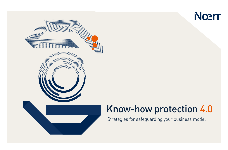



## Know-how protection 4.0

Strategies for safeguarding your business model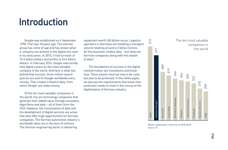### Introduction

 Google was established on 4 September 1998. That was 18 years ago. The internet group has come of age and has shown what a company can achieve in the digital era, even in its early years: in 2015, it had turnover of 74.5 billion dollars and profits of 23.4 billion dollars. In February 2016, Google even briefly took Apple's place as the most valuable company in the world. And here is what lies behind that success: three million search queries are sent to Google worldwide every minute. That creates a flood of data, from which Google can make money.

 Of the ten most valuable companies in the world, five are technology companies that generate their added value through innovation, algorithms and data – all of them from the USA. However, the monetisation of data and the development of digital services are areas that also offer huge opportunities for German companies. The German automotive industry's worldwide sales are in the tens of millions. The German engineering sector is delivering

equipment worth 260 billion euros. Logistics operators in Germany are handling a transport volume totalling around 4.5 billion tonnes. All this business creates data – but what are German companies doing with this wealth of data?

 The foundations of success in the digital transformation are innovations and knowhow. These assets need not only to be used, but also to be protected. In this white paper, we discuss the requirements that know-how protection needs to meet in the course of the digitalisation of German industry.



Market capitalisation in \$ bn (as on 30.06.2016) Source: EY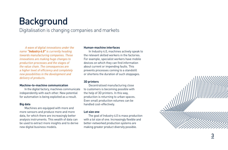# Background

Digitalisation is changing companies and markets

 *A wave of digital innovations under the name "Industry 4.0" is currently heading towards manufacturing companies. These innovations are making huge changes to production processes and the stages of the value chain. The consequences are a higher level of efficiency and completely new possibilities in the development and delivery of products.*

#### **Machine-to-machine communication**

 In the digital factory, machines communicate independently with each other. New potential for automation is being exploited as a result.

#### **Big data**

 Machines are equipped with more and more sensors and produce more and more data, for which there are increasingly better analysis instruments. This wealth of data can be used to extract more insights and to derive new digital business models.

#### **Human-machine interfaces**

 In Industry 4.0, machines actively speak to the relevant skilled workers in the factories. For example, specialist workers have mobile devices on which they can find information about current or impending faults. This prevents processes coming to a standstill or shortens the duration of such stoppages.

#### **3D printers**

 Decentralised manufacturing close to customers is becoming possible with the help of 3D printers. In this way, production is returning to urban spaces. Even small production volumes can be handled cost-effectively.

#### **Lot size one**

 The goal of Industry 4.0 is mass production with a lot size of one. Increasingly flexible and better-networked production systems are making greater product diversity possible.

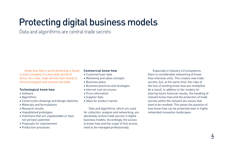# Protecting digital business models

Data and algorithms are central trade secrets

 *Know-how that is worth protecting is found in every company in a very wide variety of forms. As a rule, trade secrets exist mainly in the technological and commercial fields.*

#### **Technological know-how**

- Software
- Algorithms
- Construction drawings and design sketches
- Materials and formulations
- Research results
- Unpublished prototypes
- Inventions that are unpatentable or have not yet been patented
- Proposals for improvement
- Production processes

#### **Commercial know-how**

- Customer/user data
- Marketing and sales concepts
- Business plans
- Business practices and strategies
- Internal cost structures
- Price information
- Supplier data
- Ideas for product names

 Data and algorithms, which are used for collection, analysis and networking, are absolutely central trade secrets in digital business models. Accordingly, the access to know-how and the scope of that access need to be managed professionally.

 Especially in Industry 4.0 ecosystems, there is considerable networking of knowhow-intensive units. This creates new trade secrets, but, at the same time, the risks of the loss of existing know-how are multiplied. As a result, in addition to fair models for sharing future financial results, the handling of relevant know-how and the protection of trade secrets within the network are issues that have to be resolved. This poses the question of how know-how can be protected even in highly networked innovation landscapes.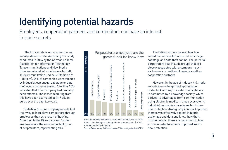# Identifying potential hazards

Employees, cooperation partners and competitors can have an interest in trade secrets

 Theft of secrets is not uncommon, as surveys demonstrate. According to a study conducted in 2016 by the German Federal Association for Information Technology, Telecommunications and New Media (Bundesverband Informationswirtschaft, Telekommunikation und neue Medien e.V. – Bitkom), 69% of companies were affected by industrial espionage, sabotage or data theft over a two-year period. A further 20% indicated that their company had probably been affected. The losses resulting from this have been estimated at 44.7 billion euros over the past two years.

 Statistically, more company secrets find their way to inquisitive competitors through employees than as a result of hacking. According to the Bitkom survey, former employees are the most important group of perpetrators, representing 60%.



Basis: All surveyed industrial companies affected by data theft, industrial espionage or sabotage in the past two years (n=349). Multiple responses in percent.

Source: *Bitkom survey "Wirtschaftsschutz" ("Economic protection") (2016).*

 The Bitkom survey makes clear how varied the motives for industrial espionage, sabotage and data theft can be. The potential perpetrators also include groups that are closely associated with a company – such as its own (current) employees, as well as cooperation partners.

 However, in the age of Industry 4.0, trade secrets can no longer be kept on paper under lock and key in a safe. The digital era is dominated by a knowledge society, which derives its advantages from communication using electronic media. In these ecosystems, industrial companies have to anchor knowhow protection strategically in order to protect themselves effectively against industrial espionage and data and know-how theft. In other words, there is a huge need to take action in order to achieve improved knowhow protection.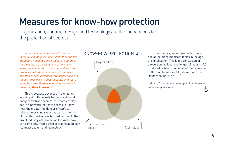## Measures for know-how protection

Organisation, contract design and technology are the foundations for the protection of secrets

 *Industrial companies have to change. In the fourth industrial revolution, they can use intelligent machines and products to optimise their business processes along the whole value chain. In order to turn themselves from product-centred manufacturers to serviceoriented service providers with digital business models, they have to become faster and more agile. However, there is one thing they have to preserve: their know-how.* 

 This is because advances in digital networking simultaneously harbour additional dangers for trade secrets: the more employees in a network that have access to knowhow, the greater the danger of conflict relating to existing rights, as well as the risk of unauthorised access by third parties. In the era of Industry 4.0, protection for know-how can come only from a triad of organisation, law (contract design) and technology.

#### Know-how protection 4.0



 In companies, know-how protection is one of the most important topics in the age of digitalisation. This is the conclusion of a report on the legal challenges of Industry 4.0 produced by Noerr on behalf of the Federation of German Industries (Bundesverband der Deutschen Industrie, BDI).

[Industry 4.0 –](https://www.noerr.com/de/presse-publikationen/PressReleases/regulierung-mit-augenmass-und-einheitlicher-europaeischer-rechtsrahmen-als-treiber-der-industrie-4-0.aspx) Legal challenges of digitalisation Input for the public debate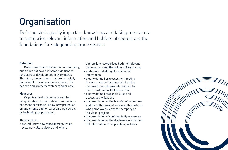# **Organisation**

Defining strategically important know-how and taking measures to categorise relevant information and holders of secrets are the foundations for safeguarding trade secrets

#### **Definition**

Know-how exists everywhere in a company, but it does not have the same significance for business development in every place. Therefore, those secrets that are especially important for business models have to be defined and protected with particular care.

#### **Measures**

Organisational precautions and the categorisation of information form the foundation for contractual know-how protection arrangements and for safeguarding secrets by technological processes.

These include:

• central know-how management, which systematically registers and, where

 appropriate, categorises both the relevant trade secrets and the holders of know-how

- systematic labelling of confidential information
- clearly defined processes for handling trade secrets and appropriate training courses for employees who come into contact with important know-how
- clearly defined responsibilities and access authorisations
- documentation of the transfer of know-how, and the withdrawal of access authorisations when employees leave the company or individual projects
- documentation of confidentiality measures
- documentation of the disclosure of confidential information to cooperation partners

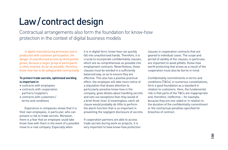# Law / contract design

Contractual arrangements also form the foundation for know-how protection in the context of digital business models

 *In digital manufacturing processes and in production with customer participation, the danger of unauthorised access by third parties grows, because a larger group of participants is often involved. As far as possible, therefore, know-how has to be safeguarded contractually.*

#### **To protect trade secrets, optimised wording is important in**

- contracts with employees
- contracts with cooperation partners / suppliers
- contracts with customers / terms and conditions

 Experience in companies shows that it is their own employees, in particular, who can present a risk to trade secrets. Moreover, there is a fear that an employee could take know-how with them in the event of a possible move to a rival company. Especially when

it is in digital form, know-how can quickly fall into unauthorised hands. Therefore, it is crucial to incorporate confidentiality clauses, which are as comprehensive as possible into employment contracts. Nevertheless, these clauses must be worded in a sufficiently balanced way, so as to ensure they are effective. This also has a positive practical effect: the employee will take more notice of a stipulation that draws attention to particularly sensitive know-how in the company, gives details about handling secrets and sets out exceptions than they would of a brief three-liner. A meaningless catch-all clause would probably do little to perform the alarm function that is so important in preventing the negligent disclosure of secrets.

If cooperation partners are able to access trade secrets during work on projects, it is very important to have know-how protection clauses in cooperation contracts that are geared to individual cases. The scope and period of validity of the clauses, in particular, are important to avoid pitfalls. Know-how worth protecting that arises as a result of the cooperation must also be borne in mind.

Confidentiality commitments in terms and conditions (T&Cs), in numerous constellations, form a good foundation as a standard in relation to customers. Here, the fundamental risk is that parts of the T&Cs are inappropriate and, therefore, ineffective – for example, because they are one-sided or in relation to the duration of the confidentiality commitment or the contractual penalties specified for breaches of contract.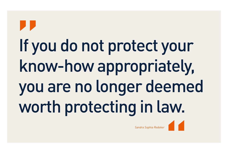# If you do not protect your know-how appropriately, you are no longer deemed worth protecting in law. "

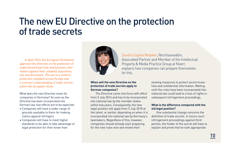## The new EU Directive on the protection of trade secrets

 *In April 2016, the European Parliament approved the Directive on the protection of undisclosed know-how and business information against their unlawful acquisition, use and disclosure. The aim is a uniform protection standard across Europe and a common understanding of trade secrets within the European Union.*

What does the new Directive mean for companies in Germany? As soon as the Directive has been incorporated into German law, two effects are to be expected:

- Companies will have a wider range of grounds available to them for making claims against infringers
- Companies will have to meet higher standards to be able to take advantage of legal protection for their know-how



Sandra Sophia Redeker, Rechtsanwältin, Associated Partner and Member of the Intellectual Property & Media Practice Group at Noerr, explains how companies can prepare themselves for this.

#### **When will the new Directive on the protection of trade secrets apply to German companies?**

 The Directive came into force with effect from 5 July 2016 and has to be incorporated into national law by the member states within two years. Consequently, the new legal position will apply from 5 July 2018 at the latest, or earlier, depending on when it is incorporated into national law by Germany's lawmakers. Regardless of this, however, companies should already start preparing for the new rules now and review their

existing measures to protect secret knowhow and confidential information. Waiting until the rules have been incorporated into national law could lead to a loss of rights in subsequent infringement proceedings.

#### **What is the difference compared with the old legal position?**

 One substantial change concerns the definition of trade secrets. In future court infringement proceedings against third parties, the holder of the secret will have to explain and prove that he took appropriate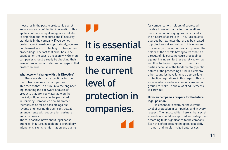measures in the past to protect his secret know-how and confidential information. This applies not only to legal safeguards but also to organisational measures and IT security standards in the company. If you do not protect your know-how appropriately, you are not deemed worth protecting in infringement proceedings. The fact that proof has to be supplied for the past is a reason why German companies should already be checking their level of protection and eliminating gaps in that protection now.

#### **What else will change with this Directive?**

 There are also new exceptions for the use of trade secrets by third parties. This means that, in future, reverse engineering, meaning the backward analysis of products that are freely available on the market, will, in principle, be permitted in Germany. Companies should protect themselves as far as possible against reverse engineering through contractual arrangements with cooperation partners and customers.

There is positive news about legal consequences: in future, in addition to prohibitory injunctions, rights to information and claims " It is essential to examine the current level of protection in companies.

"

for compensation, holders of secrets will be able to assert claims for the recall and destruction of infringing products. Finally, the holders of secrets will in future be safeguarded by new rules that are to be created to protect secret know-how in infringement proceedings. The aim of this is to prevent the holder of the secrets having to fear that, as a result of his pursuing court proceedings against infringers, further secret know-how will flow to the infringer or to other third parties because of the fundamentally public nature of the proceedings. Unlike Germany, other countries have long had appropriate protection regulations in this regard. This is an area where we have a serious amount of ground to make up and a lot of adjustments to carry out.

#### **How can companies prepare for the future legal position?**

 It is essential to examine the current level of protection in companies, and in every respect. The first condition here is that secret know-how should be captured and categorised according to its significance to the company. Even this often does not happen, especially in small and medium-sized enterprises.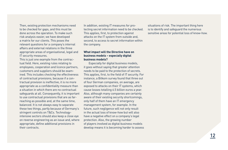Then, existing protection mechanisms need to be checked for gaps, and this must be done across the operation. To make such risk analysis easier, we have developed a matrix for our clients. This poses the relevant questions for a company's internal affairs and external relations in the three appropriate areas of organisational, legal and IT security measures.

This is just one example from the contractual field. Here, existing rules relating to employees, cooperation and licence partners, customers and suppliers should be examined. This includes checking the effectiveness of contractual provisions, because if a contractual provision is ineffective, it is no more appropriate as a confidentiality measure than a situation in which there are no contractual safeguards at all. Consequently, it is important to use contractual provisions that are as farreaching as possible and, at the same time, balanced. It is not always easy to separate these two things, partly because of Germany's stringent controls on T&Cs. Technologyintensive sectors should also keep a close eye on reverse engineering as an issue and, where appropriate, define additional provisions in their contracts.

In addition, existing IT measures for protecting secret information need to be checked. This applies, first, to protection against attacks on the IT system from outside and, second, to access to secret information within the company.

#### **What impact will the Directive have on business models – especially digital business models?**

 Especially for digital business models, it goes without saying that greater attention needs to be paid to the protection of secrets. This applies, first, to the field of IT security. For instance, a Bitkom survey found that three out of four German companies, on average, are exposed to attacks on their IT systems, which cause losses totalling 6.5 billion euros a year. Also, although many companies are certainly aware of their existing security shortcomings, only half of them have an IT emergency management system, for example. In the future, such negligence will not only result in the actual loss of know-how but will also have a negative effect on a company's legal protection. Also, the growing number of players involved as digital business models develop means it is becoming harder to assess

situations of risk. The important thing here is to identify and safeguard the numerous sensitive areas for potential loss of know-how.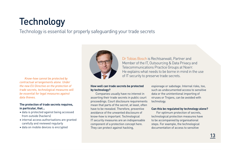# **Technology**

Technology is essential for properly safeguarding your trade secrets

*contractual arrangements alone. Under the new EU Directive on the protection of trade secrets, technological measures will be essential for legal measures against data thieves.*

#### **The protection of trade secrets requires, in particular, that...**

- data is protected against being accessed from outside (hackers)
- internal access authorisations are granted carefully and reviewed regularly
- data on mobile devices is encrypted



Dr Tobias Bosch is Rechtsanwalt, Partner and Member of the IT, Outsourcing & Data Privacy and Telecommunications Practice Groups at Noerr. He explains what needs to be borne in mind in the use of IT security to preserve trade secrets. *Know-how cannot be protected by* 

#### **How well can trade secrets be protected by technology?**

 Companies usually have no interest in asserting their trade secrets in public court proceedings. Court disclosure requirements mean that parts of the secret, at least, often have to be revealed. Therefore, preventive avoidance of the unwanted disclosure of know-how is important. Technological IT security measures are an indispensable component of a protection concept here. They can protect against hacking,

espionage or sabotage. Internal risks, too, such as undocumented access to sensitive data or the unintentional importing of viruses or Trojans, can be avoided with technology.

#### **Can this be regulated by technology alone?**

 For optimum protection of secrets, technological protection measures have to be accompanied by organisational steps. For example, the technological documentation of access to sensitive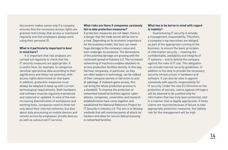documents makes sense only if a company ensures that the necessary access rights are granted restrictively, that access is monitored regularly and that employees always work using their personal ID.

#### **What is it particularly important to bear in mind here?**

 It is important that risk analyses are carried out regularly to check that the IT security measures are appropriate. It is useful here, for example, to categorise sensitive operational data according to their significance and likely risk potential, with access rights determined on that basis. In addition, protection measures must always be adapted to keep up with current technological requirements. Both hardware and software must be regularly maintained and replaced or updated. In view of the everincreasing diversification of workplaces and working tools, companies need to think not only about their internal networks, but also about data processing on mobile devices and remote access by employees' private devices, as well as outsourced IT services.

#### **What risks are there if companies carelessly fail to take protection measures?**

If protection measures are not taken, there is a danger that the trade secret will be lost to a rival. Depending on its economic importance for the business model, this loss can mean huge damage to the company's value and even endanger its existence. The dimensions of the potential damage are growing with the continued spread of Industry 4.0. The increased networking of machines enables attackers to access production facilities directly. In this way, German companies, in particular, as they are often leaders in technology, can be robbed of their company secrets or fall victim to acts of sabotage. If malware gains access, this can bring the whole production process to a standstill. To improve the protection of networked industrial facilities against cyberattacks, companies, universities and research establishments have come together and established the National Reference Project for IT Security in Industry 4.0. The aim is to develop methods that will minimise points of attack for hackers and allow for secure data processing in networked facilities.

#### **What has to be borne in mind with regard to liability?**

 Guaranteeing IT security is already a management responsibility. Therefore, a company's top executives are obliged, as part of the appropriate running of the business, to ensure the basic principles of information security – meaning the confidentiality, availability and integrity of IT systems – and to defend the company against the risks of IT use. This obligation can include internal security guidelines, in addition to the duty to provide the necessary security infrastructure in hardware and software. It can also be wise to appoint somebody with specific responsibility for IT security. Under the new EU Directive on the protection of secrets, claims against infringers will be deemed to be justified only for information that has truly been protected, and in a manner that is legally appropriate. If these claims are rejected because of failure to take appropriate protection measures, the liability risk for the management will be high.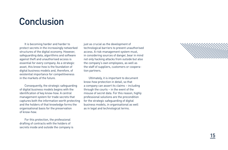## Conclusion

 It is becoming harder and harder to protect secrets in the increasingly networked structures of the digital economy. However, safeguarding data, algorithms and software against theft and unauthorised access is essential for every company. As a strategic asset, this know-how is the foundation of digital business models and, therefore, of existential importance for competitiveness in the markets of the future.

 Consequently, the strategic safeguarding of digital business models begins with the identification of key know-how. A central management system for trade secrets that captures both the information worth protecting and the holders of that knowledge forms the organisational basis for the preservation of know-how.

 For this protection, the professional drafting of contracts with the holders of secrets inside and outside the company is just as crucial as the development of technological barriers to prevent unauthorised access. A risk-management system must, in considering sources of danger, bear in mind not only hacking attacks from outside but also the company's own employees, as well as the staff of suppliers, customers or cooperation partners.

 Ultimately, it is important to document know-how protection in detail, so that a company can assert its claims – including through the courts – in the event of the misuse of secret data. For this reason, highly professional solutions are the precondition for the strategic safeguarding of digital business models, in organisational as well as in legal and technological terms.

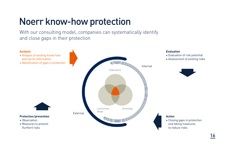# Noerr know-how protection

With our consulting model, companies can systematically identify and close gaps in their protection

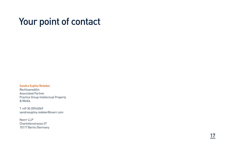## Your point of contact

Sandra Sophia Redeker Rechtsanwältin Associated Partner Practice Group Intellectual Property & Media

T +49 30 20942069 sandrasophia.redeker@noerr.com

Noerr LLP Charlottenstrasse 57 10117 Berlin/Germany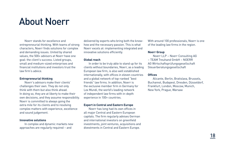## About Noerr

 Noerr stands for excellence and entrepreneurial thinking. With teams of strong characters, Noerr finds solutions for complex and demanding issues. United by shared values, the 500+ advisors at Noerr have one goal: the client's success. Listed groups, small and medium-sized enterprises and financial institutions and investors trust the law firm's advice.

#### **Entrepreneurial thinking**

 Noerr's advisors make their clients' challenges their own. They do not only think with them but also think ahead. In doing so, they are at liberty to make their own decisions, and they assume responsibility. Noerr is committed to always going the extra mile for its clients and to resolving complex matters with experience, excellence and sound judgement.

#### **Innovative solutions**

 In complex and dynamic markets new approaches are regularly required – and

delivered by experts who bring both the knowhow and the necessary passion. This is what Noerr excels at: implementing integrated and innovative solutions efficiently.

#### **Global reach**

 In order to be truly able to stand up for its clients without boundaries, Noerr, as a leading European law firm, is also well established internationally, with offices in eleven countries and a global network of top-ranked "best friends" law firms. In addition, Noerr is the exclusive member firm in Germany for Lex Mundi, the world's leading network of independent law firms with in-depth experience in 100+ countries.

#### **Expert in Central and Eastern Europe**

 Noerr has long had its own offices in all major Central and Eastern European capitals. The firm regularly advises German and international investors on greenfield investments, joint ventures, acquisitions and divestments in Central and Eastern Europe.

With around 100 professionals, Noerr is one of the leading law firms in the region.

#### **Noerr Group**

 Noerr LLP – Noerr Consulting AG – TEAM Treuhand GmbH – NOERR AG Wirtschaftsprüfungsgesellschaft Steuerberatungsgesellschaft

#### **Offices**

 Alicante, Berlin, Bratislava, Brussels, Bucharest, Budapest, Dresden, Düsseldorf, Frankfurt, London, Moscow, Munich, New York, Prague, Warsaw